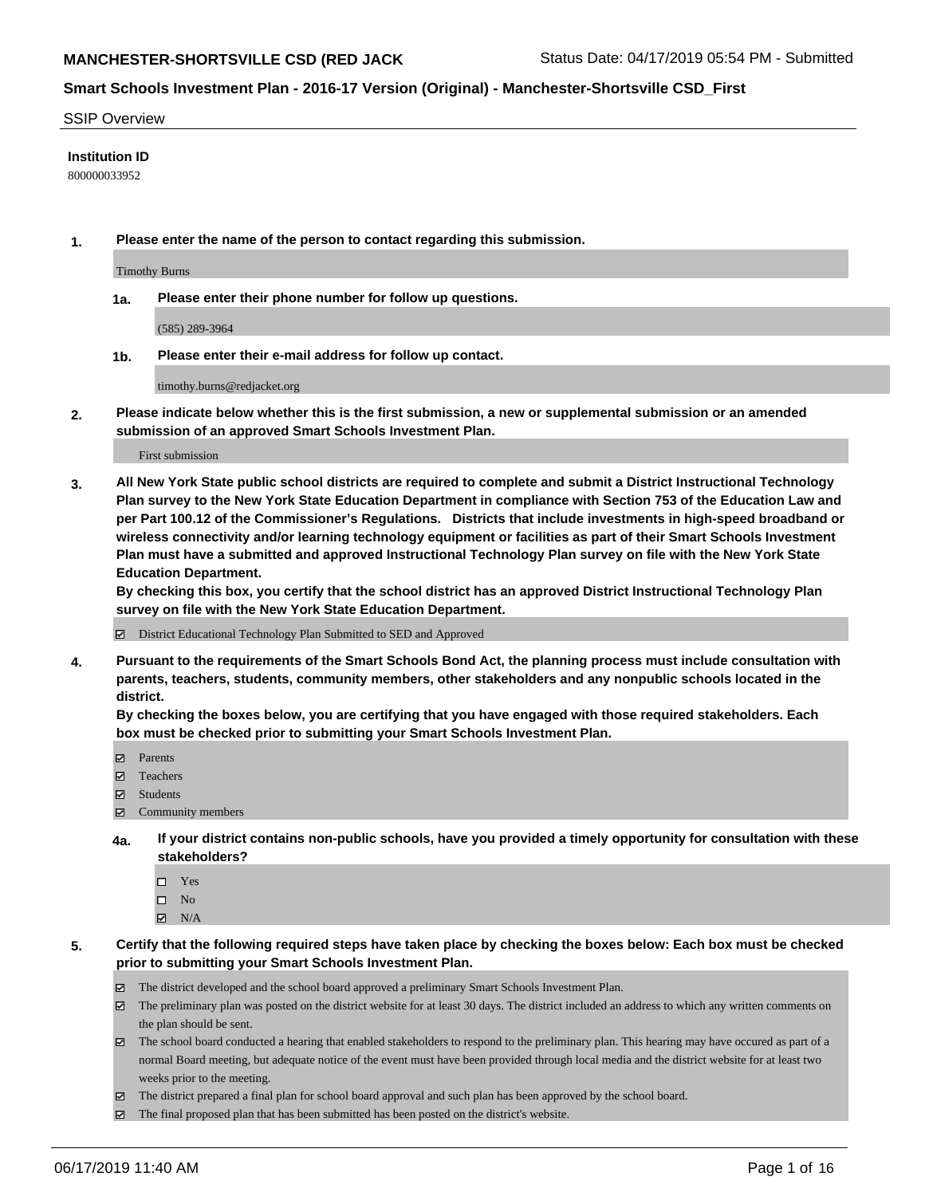#### SSIP Overview

#### **Institution ID**

800000033952

**1. Please enter the name of the person to contact regarding this submission.**

Timothy Burns

**1a. Please enter their phone number for follow up questions.**

(585) 289-3964

**1b. Please enter their e-mail address for follow up contact.**

timothy.burns@redjacket.org

**2. Please indicate below whether this is the first submission, a new or supplemental submission or an amended submission of an approved Smart Schools Investment Plan.**

First submission

**3. All New York State public school districts are required to complete and submit a District Instructional Technology Plan survey to the New York State Education Department in compliance with Section 753 of the Education Law and per Part 100.12 of the Commissioner's Regulations. Districts that include investments in high-speed broadband or wireless connectivity and/or learning technology equipment or facilities as part of their Smart Schools Investment Plan must have a submitted and approved Instructional Technology Plan survey on file with the New York State Education Department.** 

**By checking this box, you certify that the school district has an approved District Instructional Technology Plan survey on file with the New York State Education Department.**

District Educational Technology Plan Submitted to SED and Approved

**4. Pursuant to the requirements of the Smart Schools Bond Act, the planning process must include consultation with parents, teachers, students, community members, other stakeholders and any nonpublic schools located in the district.** 

**By checking the boxes below, you are certifying that you have engaged with those required stakeholders. Each box must be checked prior to submitting your Smart Schools Investment Plan.**

- Parents
- Teachers
- Students
- Community members
- **4a. If your district contains non-public schools, have you provided a timely opportunity for consultation with these stakeholders?**
	- □ Yes
	- $\square$  No
	- $N/A$
- **5. Certify that the following required steps have taken place by checking the boxes below: Each box must be checked prior to submitting your Smart Schools Investment Plan.**
	- The district developed and the school board approved a preliminary Smart Schools Investment Plan.
	- $\boxtimes$  The preliminary plan was posted on the district website for at least 30 days. The district included an address to which any written comments on the plan should be sent.
	- $\boxtimes$  The school board conducted a hearing that enabled stakeholders to respond to the preliminary plan. This hearing may have occured as part of a normal Board meeting, but adequate notice of the event must have been provided through local media and the district website for at least two weeks prior to the meeting.
	- The district prepared a final plan for school board approval and such plan has been approved by the school board.
	- $\boxtimes$  The final proposed plan that has been submitted has been posted on the district's website.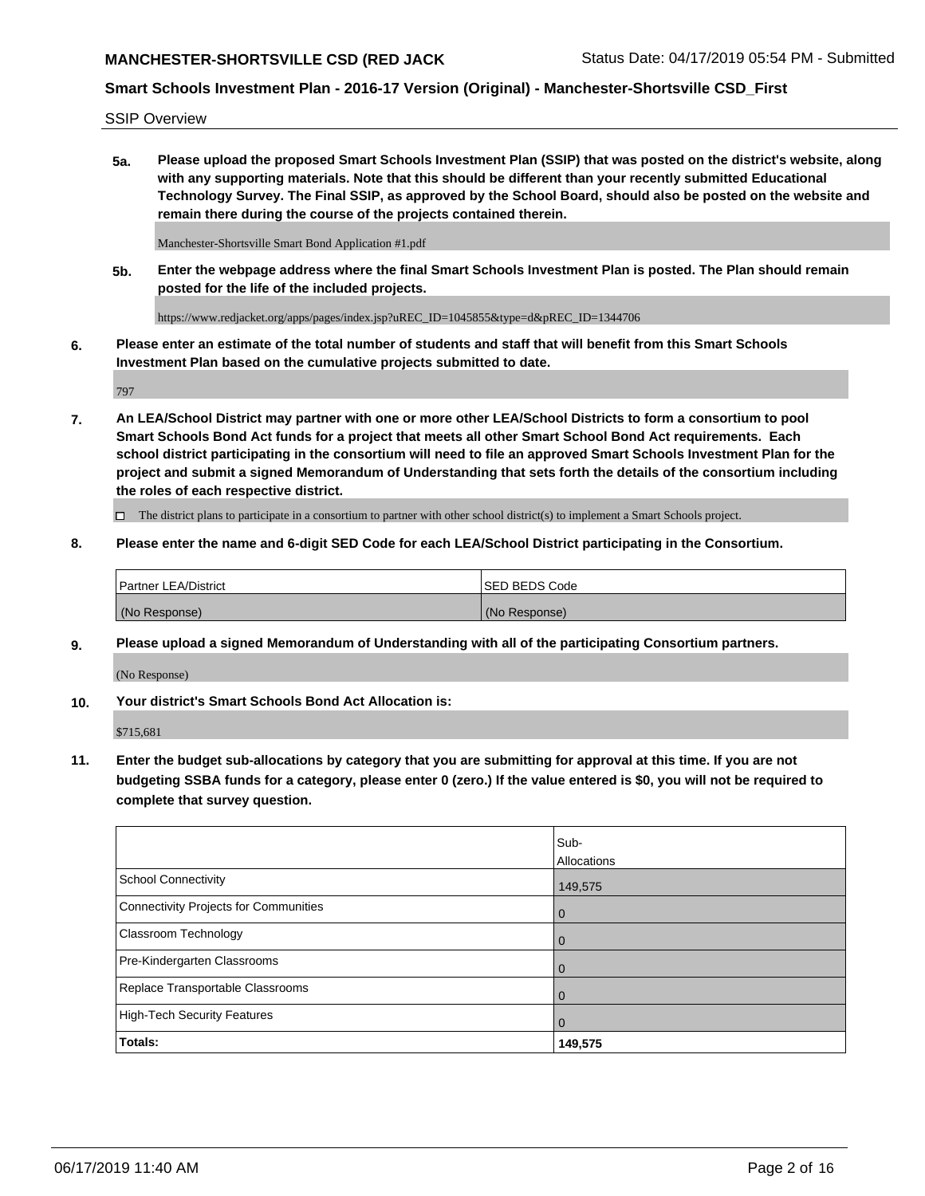## **MANCHESTER-SHORTSVILLE CSD (RED JACK Status Date: 04/17/2019 05:54 PM - Submitted**

# **Smart Schools Investment Plan - 2016-17 Version (Original) - Manchester-Shortsville CSD\_First**

SSIP Overview

**5a. Please upload the proposed Smart Schools Investment Plan (SSIP) that was posted on the district's website, along with any supporting materials. Note that this should be different than your recently submitted Educational Technology Survey. The Final SSIP, as approved by the School Board, should also be posted on the website and remain there during the course of the projects contained therein.**

Manchester-Shortsville Smart Bond Application #1.pdf

**5b. Enter the webpage address where the final Smart Schools Investment Plan is posted. The Plan should remain posted for the life of the included projects.**

https://www.redjacket.org/apps/pages/index.jsp?uREC\_ID=1045855&type=d&pREC\_ID=1344706

**6. Please enter an estimate of the total number of students and staff that will benefit from this Smart Schools Investment Plan based on the cumulative projects submitted to date.**

797

**7. An LEA/School District may partner with one or more other LEA/School Districts to form a consortium to pool Smart Schools Bond Act funds for a project that meets all other Smart School Bond Act requirements. Each school district participating in the consortium will need to file an approved Smart Schools Investment Plan for the project and submit a signed Memorandum of Understanding that sets forth the details of the consortium including the roles of each respective district.**

 $\Box$  The district plans to participate in a consortium to partner with other school district(s) to implement a Smart Schools project.

### **8. Please enter the name and 6-digit SED Code for each LEA/School District participating in the Consortium.**

| <b>Partner LEA/District</b> | <b>ISED BEDS Code</b> |
|-----------------------------|-----------------------|
| (No Response)               | (No Response)         |

#### **9. Please upload a signed Memorandum of Understanding with all of the participating Consortium partners.**

(No Response)

**10. Your district's Smart Schools Bond Act Allocation is:**

\$715,681

**11. Enter the budget sub-allocations by category that you are submitting for approval at this time. If you are not budgeting SSBA funds for a category, please enter 0 (zero.) If the value entered is \$0, you will not be required to complete that survey question.**

|                                       | Sub-<br>Allocations |
|---------------------------------------|---------------------|
| <b>School Connectivity</b>            | 149,575             |
| Connectivity Projects for Communities | $\overline{0}$      |
| <b>Classroom Technology</b>           | 0                   |
| Pre-Kindergarten Classrooms           | 0                   |
| Replace Transportable Classrooms      | $\Omega$            |
| High-Tech Security Features           | $\overline{0}$      |
| Totals:                               | 149,575             |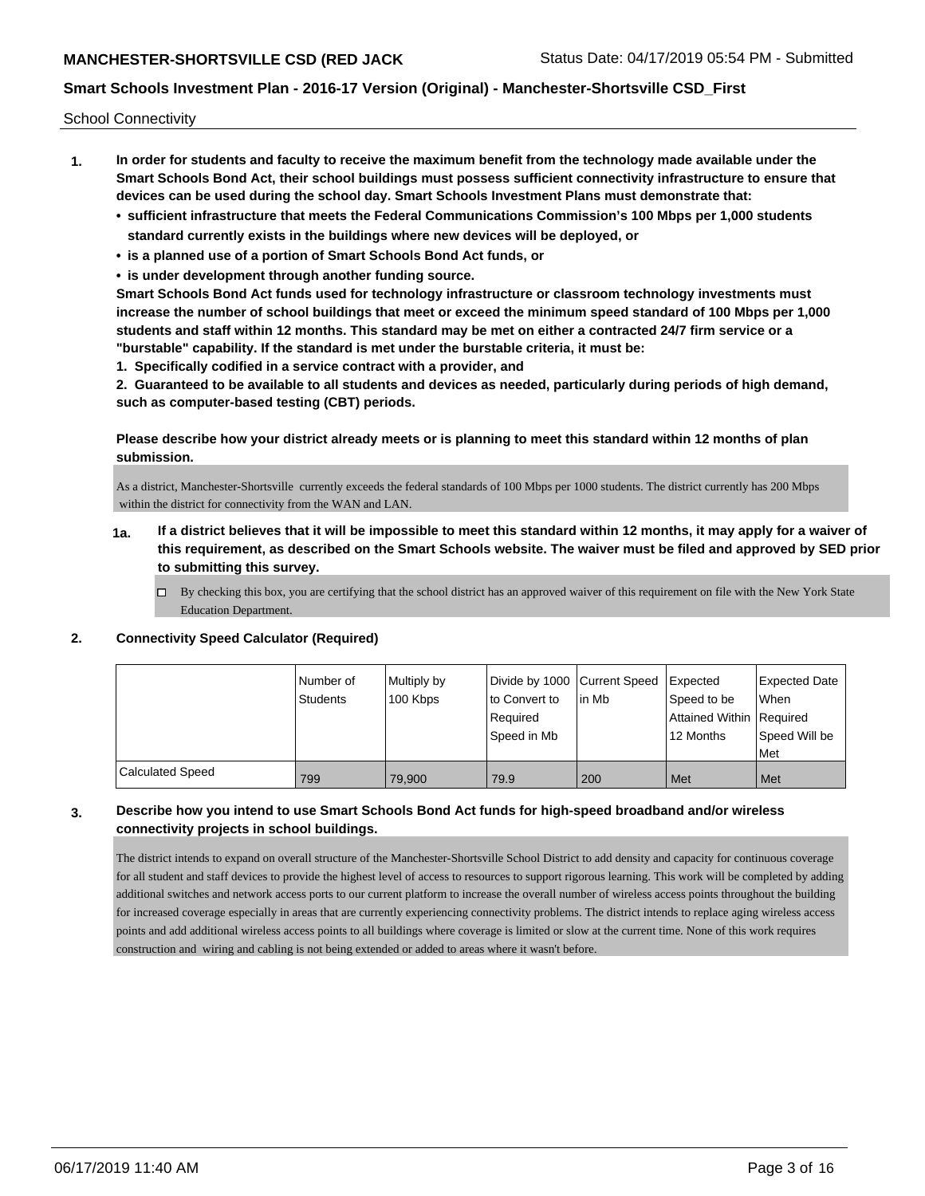School Connectivity

- **1. In order for students and faculty to receive the maximum benefit from the technology made available under the Smart Schools Bond Act, their school buildings must possess sufficient connectivity infrastructure to ensure that devices can be used during the school day. Smart Schools Investment Plans must demonstrate that:**
	- **• sufficient infrastructure that meets the Federal Communications Commission's 100 Mbps per 1,000 students standard currently exists in the buildings where new devices will be deployed, or**
	- **• is a planned use of a portion of Smart Schools Bond Act funds, or**
	- **• is under development through another funding source.**

**Smart Schools Bond Act funds used for technology infrastructure or classroom technology investments must increase the number of school buildings that meet or exceed the minimum speed standard of 100 Mbps per 1,000 students and staff within 12 months. This standard may be met on either a contracted 24/7 firm service or a "burstable" capability. If the standard is met under the burstable criteria, it must be:**

**1. Specifically codified in a service contract with a provider, and**

**2. Guaranteed to be available to all students and devices as needed, particularly during periods of high demand, such as computer-based testing (CBT) periods.**

### **Please describe how your district already meets or is planning to meet this standard within 12 months of plan submission.**

As a district, Manchester-Shortsville currently exceeds the federal standards of 100 Mbps per 1000 students. The district currently has 200 Mbps within the district for connectivity from the WAN and LAN.

- **1a. If a district believes that it will be impossible to meet this standard within 12 months, it may apply for a waiver of this requirement, as described on the Smart Schools website. The waiver must be filed and approved by SED prior to submitting this survey.**
	- $\Box$  By checking this box, you are certifying that the school district has an approved waiver of this requirement on file with the New York State Education Department.

### **2. Connectivity Speed Calculator (Required)**

|                         | l Number of<br><b>Students</b> | Multiply by<br>100 Kbps | Divide by 1000 Current Speed<br>to Convert to<br>Required<br>Speed in Mb | lin Mb | Expected<br>Speed to be<br>Attained Within Required<br>12 Months | <b>Expected Date</b><br><b>When</b><br>Speed Will be<br>Met |
|-------------------------|--------------------------------|-------------------------|--------------------------------------------------------------------------|--------|------------------------------------------------------------------|-------------------------------------------------------------|
| <b>Calculated Speed</b> | 799                            | 79.900                  | 79.9                                                                     | 200    | Met                                                              | Met                                                         |

### **3. Describe how you intend to use Smart Schools Bond Act funds for high-speed broadband and/or wireless connectivity projects in school buildings.**

The district intends to expand on overall structure of the Manchester-Shortsville School District to add density and capacity for continuous coverage for all student and staff devices to provide the highest level of access to resources to support rigorous learning. This work will be completed by adding additional switches and network access ports to our current platform to increase the overall number of wireless access points throughout the building for increased coverage especially in areas that are currently experiencing connectivity problems. The district intends to replace aging wireless access points and add additional wireless access points to all buildings where coverage is limited or slow at the current time. None of this work requires construction and wiring and cabling is not being extended or added to areas where it wasn't before.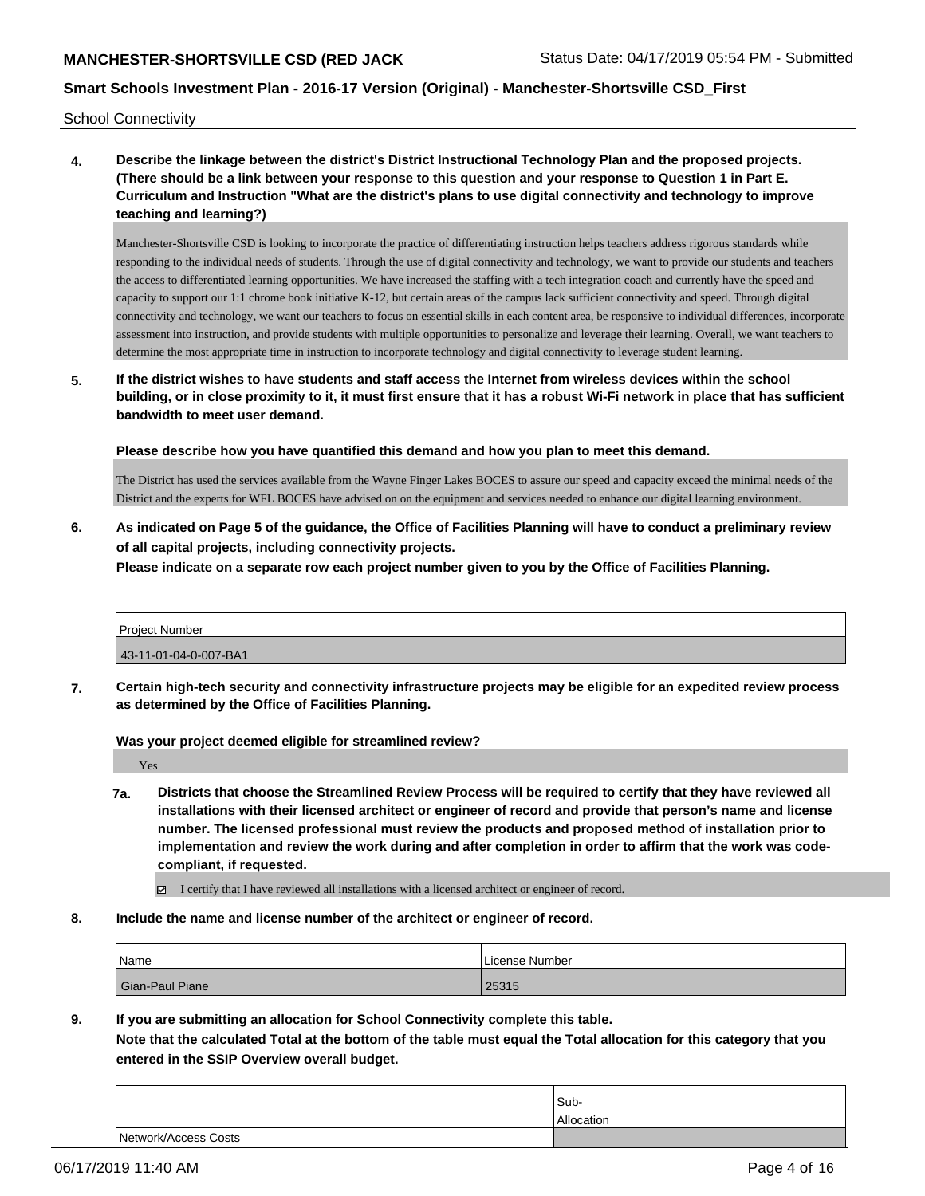School Connectivity

**4. Describe the linkage between the district's District Instructional Technology Plan and the proposed projects. (There should be a link between your response to this question and your response to Question 1 in Part E. Curriculum and Instruction "What are the district's plans to use digital connectivity and technology to improve teaching and learning?)**

Manchester-Shortsville CSD is looking to incorporate the practice of differentiating instruction helps teachers address rigorous standards while responding to the individual needs of students. Through the use of digital connectivity and technology, we want to provide our students and teachers the access to differentiated learning opportunities. We have increased the staffing with a tech integration coach and currently have the speed and capacity to support our 1:1 chrome book initiative K-12, but certain areas of the campus lack sufficient connectivity and speed. Through digital connectivity and technology, we want our teachers to focus on essential skills in each content area, be responsive to individual differences, incorporate assessment into instruction, and provide students with multiple opportunities to personalize and leverage their learning. Overall, we want teachers to determine the most appropriate time in instruction to incorporate technology and digital connectivity to leverage student learning.

**5. If the district wishes to have students and staff access the Internet from wireless devices within the school building, or in close proximity to it, it must first ensure that it has a robust Wi-Fi network in place that has sufficient bandwidth to meet user demand.**

**Please describe how you have quantified this demand and how you plan to meet this demand.**

The District has used the services available from the Wayne Finger Lakes BOCES to assure our speed and capacity exceed the minimal needs of the District and the experts for WFL BOCES have advised on on the equipment and services needed to enhance our digital learning environment.

**6. As indicated on Page 5 of the guidance, the Office of Facilities Planning will have to conduct a preliminary review of all capital projects, including connectivity projects.**

**Please indicate on a separate row each project number given to you by the Office of Facilities Planning.**

| <b>Project Number</b> |  |
|-----------------------|--|
| 43-11-01-04-0-007-BA1 |  |

**7. Certain high-tech security and connectivity infrastructure projects may be eligible for an expedited review process as determined by the Office of Facilities Planning.**

**Was your project deemed eligible for streamlined review?**

Yes

- **7a. Districts that choose the Streamlined Review Process will be required to certify that they have reviewed all installations with their licensed architect or engineer of record and provide that person's name and license number. The licensed professional must review the products and proposed method of installation prior to implementation and review the work during and after completion in order to affirm that the work was codecompliant, if requested.**
	- I certify that I have reviewed all installations with a licensed architect or engineer of record.
- **8. Include the name and license number of the architect or engineer of record.**

| Name            | License Number |
|-----------------|----------------|
| Gian-Paul Piane | 25315          |

**9. If you are submitting an allocation for School Connectivity complete this table.**

**Note that the calculated Total at the bottom of the table must equal the Total allocation for this category that you entered in the SSIP Overview overall budget.** 

|                      | Sub-       |
|----------------------|------------|
|                      | Allocation |
| Network/Access Costs |            |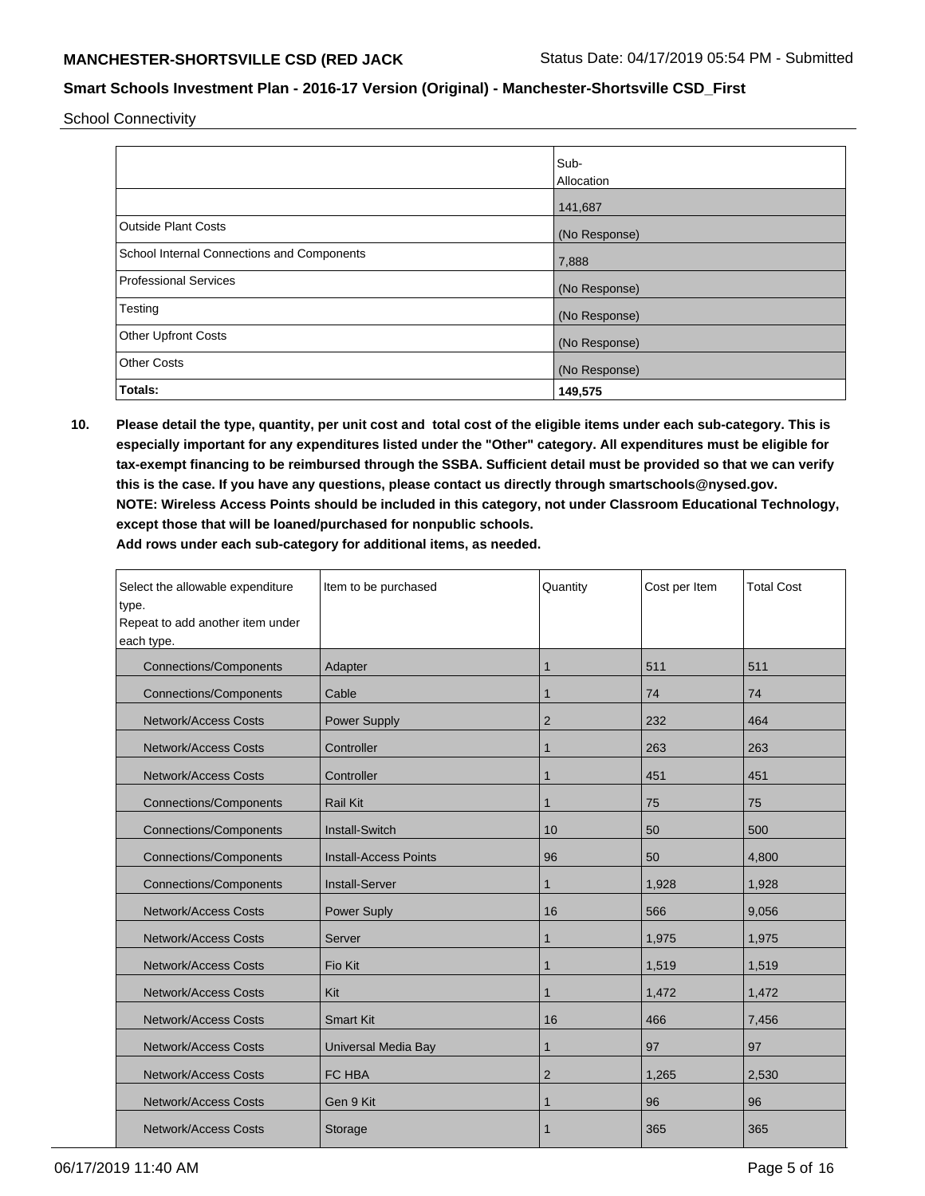School Connectivity

|                                            | Sub-<br>Allocation |
|--------------------------------------------|--------------------|
|                                            | 141,687            |
| <b>Outside Plant Costs</b>                 | (No Response)      |
| School Internal Connections and Components | 7,888              |
| <b>Professional Services</b>               | (No Response)      |
| Testing                                    | (No Response)      |
| <b>Other Upfront Costs</b>                 | (No Response)      |
| <b>Other Costs</b>                         | (No Response)      |
| Totals:                                    | 149,575            |

**10. Please detail the type, quantity, per unit cost and total cost of the eligible items under each sub-category. This is especially important for any expenditures listed under the "Other" category. All expenditures must be eligible for tax-exempt financing to be reimbursed through the SSBA. Sufficient detail must be provided so that we can verify this is the case. If you have any questions, please contact us directly through smartschools@nysed.gov. NOTE: Wireless Access Points should be included in this category, not under Classroom Educational Technology, except those that will be loaned/purchased for nonpublic schools.**

| Select the allowable expenditure<br>type.<br>Repeat to add another item under | Item to be purchased         | Quantity       | Cost per Item | <b>Total Cost</b> |
|-------------------------------------------------------------------------------|------------------------------|----------------|---------------|-------------------|
| each type.                                                                    |                              |                |               |                   |
| <b>Connections/Components</b>                                                 | Adapter                      | 1              | 511           | 511               |
| <b>Connections/Components</b>                                                 | Cable                        | 1              | 74            | 74                |
| <b>Network/Access Costs</b>                                                   | <b>Power Supply</b>          | $\overline{2}$ | 232           | 464               |
| <b>Network/Access Costs</b>                                                   | Controller                   |                | 263           | 263               |
| <b>Network/Access Costs</b>                                                   | Controller                   | 1              | 451           | 451               |
| <b>Connections/Components</b>                                                 | <b>Rail Kit</b>              | 1              | 75            | 75                |
| <b>Connections/Components</b>                                                 | <b>Install-Switch</b>        | 10             | 50            | 500               |
| <b>Connections/Components</b>                                                 | <b>Install-Access Points</b> | 96             | 50            | 4,800             |
| <b>Connections/Components</b>                                                 | <b>Install-Server</b>        | 1              | 1,928         | 1,928             |
| <b>Network/Access Costs</b>                                                   | <b>Power Suply</b>           | 16             | 566           | 9,056             |
| <b>Network/Access Costs</b>                                                   | Server                       | 1              | 1,975         | 1,975             |
| <b>Network/Access Costs</b>                                                   | Fio Kit                      | 1              | 1,519         | 1,519             |
| <b>Network/Access Costs</b>                                                   | Kit                          |                | 1,472         | 1,472             |
| <b>Network/Access Costs</b>                                                   | <b>Smart Kit</b>             | 16             | 466           | 7,456             |
| <b>Network/Access Costs</b>                                                   | Universal Media Bay          | 1              | 97            | 97                |
| <b>Network/Access Costs</b>                                                   | FC HBA                       | $\overline{2}$ | 1,265         | 2,530             |
| <b>Network/Access Costs</b>                                                   | Gen 9 Kit                    | 1              | 96            | 96                |
| <b>Network/Access Costs</b>                                                   | Storage                      |                | 365           | 365               |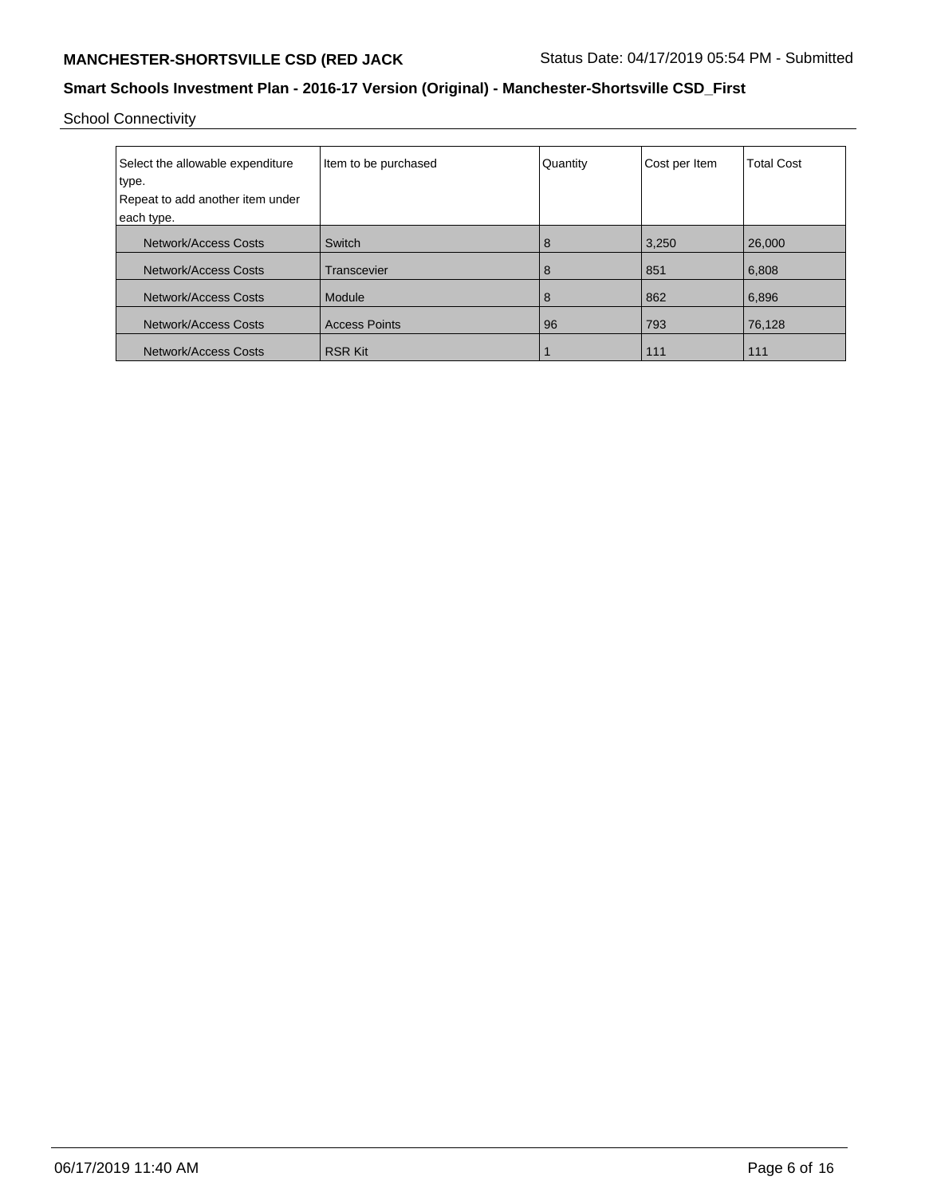School Connectivity

| Select the allowable expenditure<br>type.<br>Repeat to add another item under<br>each type. | Item to be purchased | Quantity | Cost per Item | <b>Total Cost</b> |
|---------------------------------------------------------------------------------------------|----------------------|----------|---------------|-------------------|
| Network/Access Costs                                                                        | Switch               | 8        | 3,250         | 26,000            |
| Network/Access Costs                                                                        | Transcevier          | 8        | 851           | 6,808             |
| Network/Access Costs                                                                        | Module               | 8        | 862           | 6,896             |
| <b>Network/Access Costs</b>                                                                 | <b>Access Points</b> | 96       | 793           | 76,128            |
| Network/Access Costs                                                                        | <b>RSR Kit</b>       |          | 111           | 111               |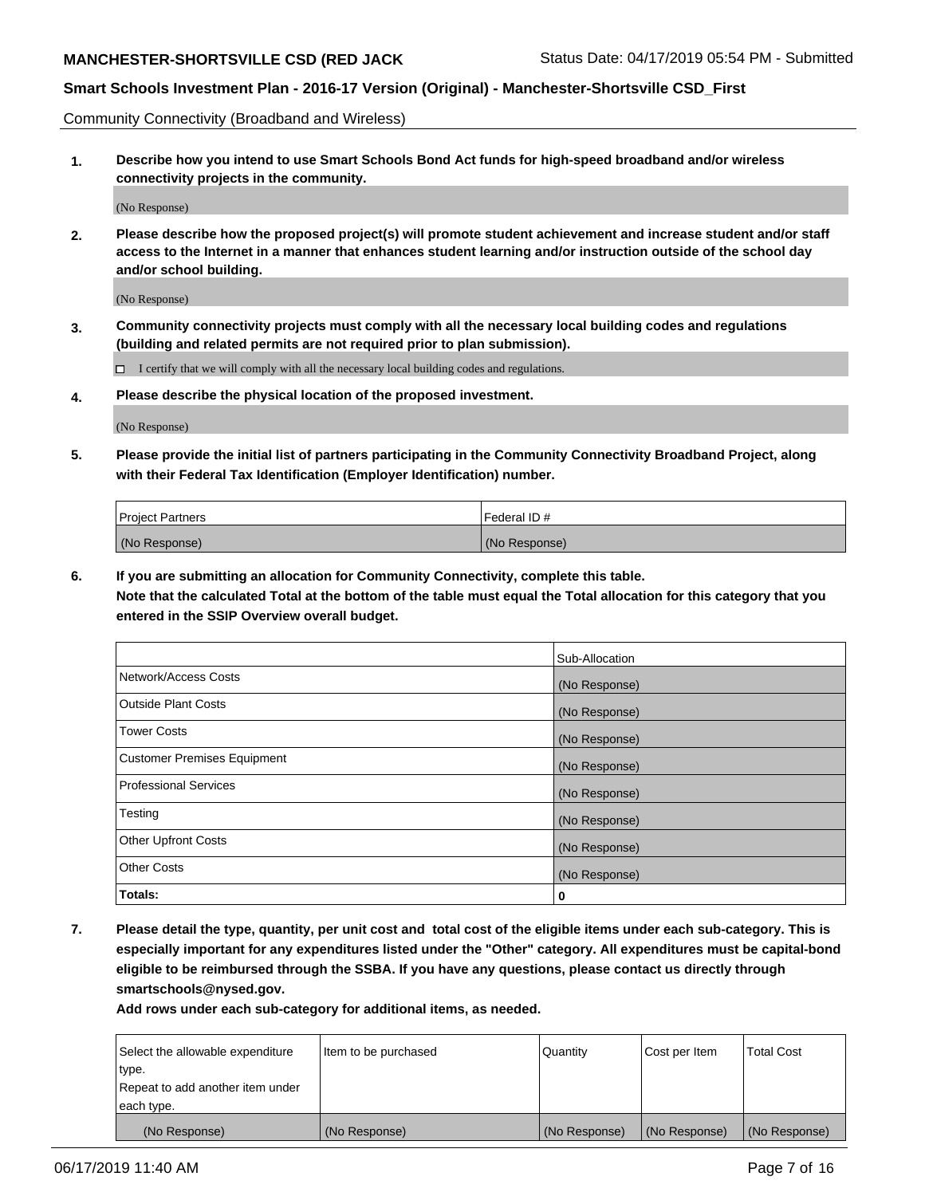Community Connectivity (Broadband and Wireless)

**1. Describe how you intend to use Smart Schools Bond Act funds for high-speed broadband and/or wireless connectivity projects in the community.**

(No Response)

**2. Please describe how the proposed project(s) will promote student achievement and increase student and/or staff access to the Internet in a manner that enhances student learning and/or instruction outside of the school day and/or school building.**

(No Response)

**3. Community connectivity projects must comply with all the necessary local building codes and regulations (building and related permits are not required prior to plan submission).**

 $\Box$  I certify that we will comply with all the necessary local building codes and regulations.

**4. Please describe the physical location of the proposed investment.**

(No Response)

**5. Please provide the initial list of partners participating in the Community Connectivity Broadband Project, along with their Federal Tax Identification (Employer Identification) number.**

| <b>Project Partners</b> | l Federal ID # |
|-------------------------|----------------|
| (No Response)           | (No Response)  |

**6. If you are submitting an allocation for Community Connectivity, complete this table.**

**Note that the calculated Total at the bottom of the table must equal the Total allocation for this category that you entered in the SSIP Overview overall budget.**

|                                    | Sub-Allocation |
|------------------------------------|----------------|
| Network/Access Costs               | (No Response)  |
| Outside Plant Costs                | (No Response)  |
| <b>Tower Costs</b>                 | (No Response)  |
| <b>Customer Premises Equipment</b> | (No Response)  |
| Professional Services              | (No Response)  |
| Testing                            | (No Response)  |
| <b>Other Upfront Costs</b>         | (No Response)  |
| <b>Other Costs</b>                 | (No Response)  |
| Totals:                            | 0              |

**7. Please detail the type, quantity, per unit cost and total cost of the eligible items under each sub-category. This is especially important for any expenditures listed under the "Other" category. All expenditures must be capital-bond eligible to be reimbursed through the SSBA. If you have any questions, please contact us directly through smartschools@nysed.gov.**

| Select the allowable expenditure | Item to be purchased | l Quantitv    | Cost per Item | <b>Total Cost</b> |
|----------------------------------|----------------------|---------------|---------------|-------------------|
| type.                            |                      |               |               |                   |
| Repeat to add another item under |                      |               |               |                   |
| each type.                       |                      |               |               |                   |
| (No Response)                    | (No Response)        | (No Response) | (No Response) | (No Response)     |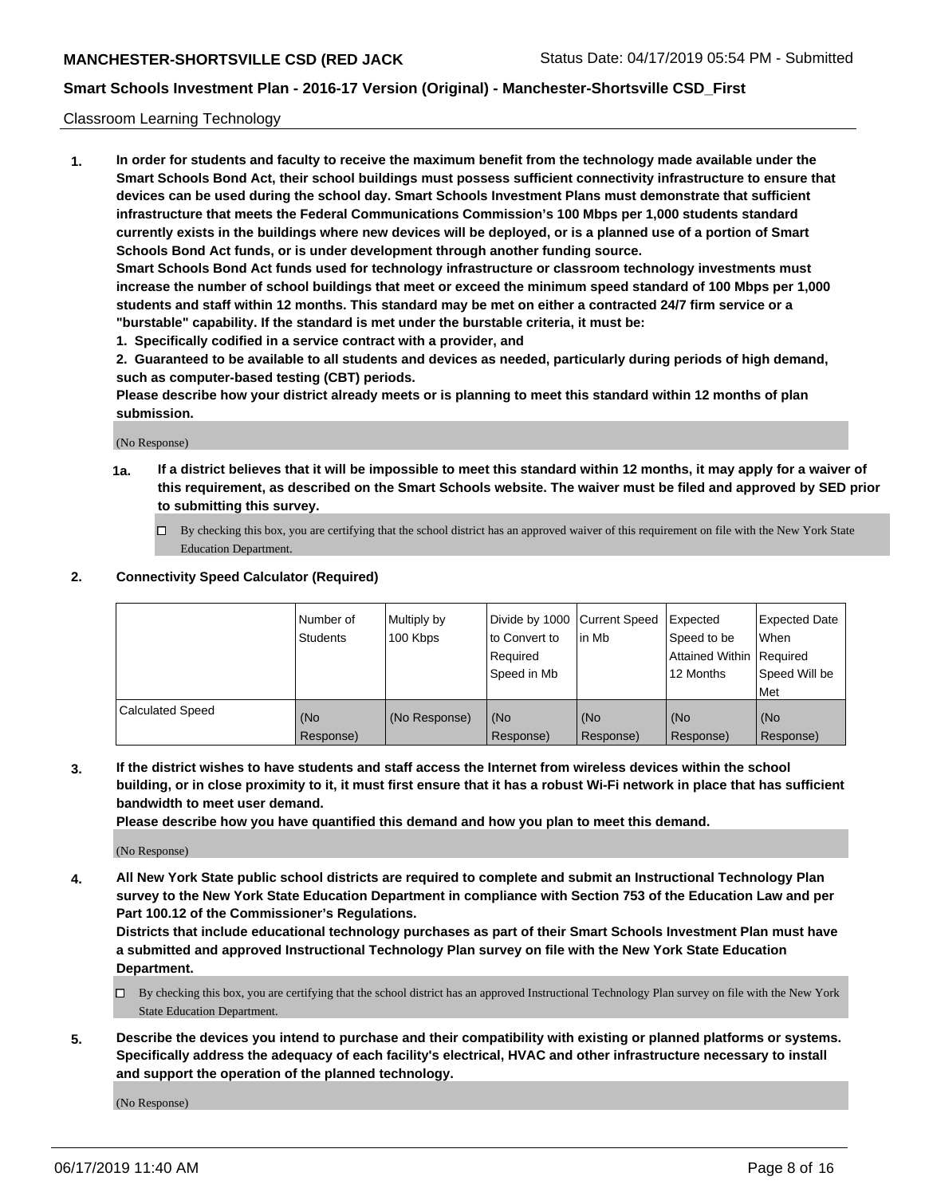### Classroom Learning Technology

**1. In order for students and faculty to receive the maximum benefit from the technology made available under the Smart Schools Bond Act, their school buildings must possess sufficient connectivity infrastructure to ensure that devices can be used during the school day. Smart Schools Investment Plans must demonstrate that sufficient infrastructure that meets the Federal Communications Commission's 100 Mbps per 1,000 students standard currently exists in the buildings where new devices will be deployed, or is a planned use of a portion of Smart Schools Bond Act funds, or is under development through another funding source. Smart Schools Bond Act funds used for technology infrastructure or classroom technology investments must increase the number of school buildings that meet or exceed the minimum speed standard of 100 Mbps per 1,000 students and staff within 12 months. This standard may be met on either a contracted 24/7 firm service or a**

- **"burstable" capability. If the standard is met under the burstable criteria, it must be:**
- **1. Specifically codified in a service contract with a provider, and**

**2. Guaranteed to be available to all students and devices as needed, particularly during periods of high demand, such as computer-based testing (CBT) periods.**

**Please describe how your district already meets or is planning to meet this standard within 12 months of plan submission.**

(No Response)

- **1a. If a district believes that it will be impossible to meet this standard within 12 months, it may apply for a waiver of this requirement, as described on the Smart Schools website. The waiver must be filed and approved by SED prior to submitting this survey.**
	- By checking this box, you are certifying that the school district has an approved waiver of this requirement on file with the New York State Education Department.

### **2. Connectivity Speed Calculator (Required)**

|                         | l Number of<br>Students | Multiply by<br>100 Kbps | to Convert to<br>Required<br>Speed in Mb | Divide by 1000 Current Speed Expected<br>lin Mb | Speed to be<br>Attained Within Required<br>12 Months | Expected Date<br>When<br>Speed Will be<br>Met |
|-------------------------|-------------------------|-------------------------|------------------------------------------|-------------------------------------------------|------------------------------------------------------|-----------------------------------------------|
| <b>Calculated Speed</b> | (No<br>Response)        | (No Response)           | (No<br>Response)                         | (No<br>Response)                                | (No<br>Response)                                     | (No<br>Response)                              |

**3. If the district wishes to have students and staff access the Internet from wireless devices within the school building, or in close proximity to it, it must first ensure that it has a robust Wi-Fi network in place that has sufficient bandwidth to meet user demand.**

**Please describe how you have quantified this demand and how you plan to meet this demand.**

(No Response)

**4. All New York State public school districts are required to complete and submit an Instructional Technology Plan survey to the New York State Education Department in compliance with Section 753 of the Education Law and per Part 100.12 of the Commissioner's Regulations.**

**Districts that include educational technology purchases as part of their Smart Schools Investment Plan must have a submitted and approved Instructional Technology Plan survey on file with the New York State Education Department.**

- $\Box$  By checking this box, you are certifying that the school district has an approved Instructional Technology Plan survey on file with the New York State Education Department.
- **5. Describe the devices you intend to purchase and their compatibility with existing or planned platforms or systems. Specifically address the adequacy of each facility's electrical, HVAC and other infrastructure necessary to install and support the operation of the planned technology.**

(No Response)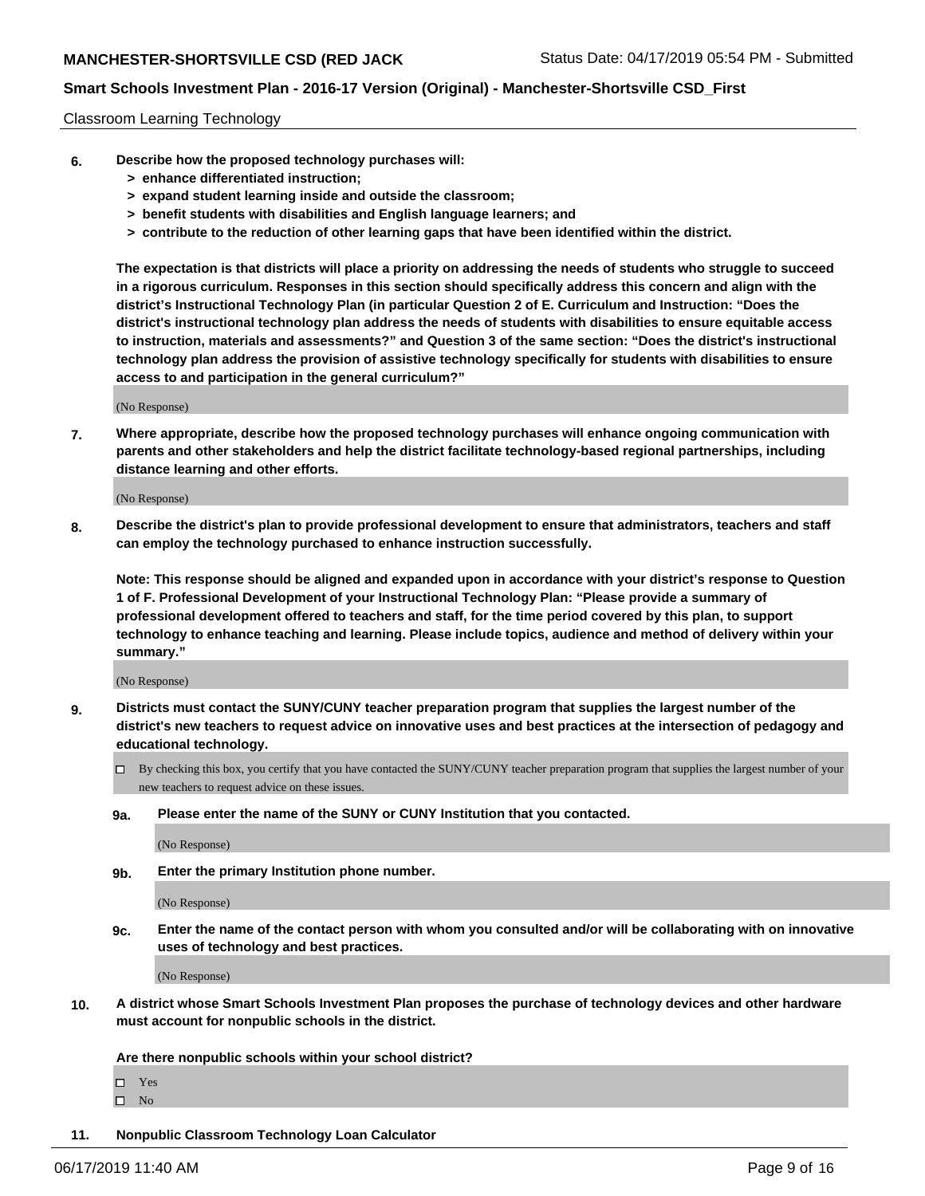#### Classroom Learning Technology

- **6. Describe how the proposed technology purchases will:**
	- **> enhance differentiated instruction;**
	- **> expand student learning inside and outside the classroom;**
	- **> benefit students with disabilities and English language learners; and**
	- **> contribute to the reduction of other learning gaps that have been identified within the district.**

**The expectation is that districts will place a priority on addressing the needs of students who struggle to succeed in a rigorous curriculum. Responses in this section should specifically address this concern and align with the district's Instructional Technology Plan (in particular Question 2 of E. Curriculum and Instruction: "Does the district's instructional technology plan address the needs of students with disabilities to ensure equitable access to instruction, materials and assessments?" and Question 3 of the same section: "Does the district's instructional technology plan address the provision of assistive technology specifically for students with disabilities to ensure access to and participation in the general curriculum?"**

(No Response)

**7. Where appropriate, describe how the proposed technology purchases will enhance ongoing communication with parents and other stakeholders and help the district facilitate technology-based regional partnerships, including distance learning and other efforts.**

(No Response)

**8. Describe the district's plan to provide professional development to ensure that administrators, teachers and staff can employ the technology purchased to enhance instruction successfully.**

**Note: This response should be aligned and expanded upon in accordance with your district's response to Question 1 of F. Professional Development of your Instructional Technology Plan: "Please provide a summary of professional development offered to teachers and staff, for the time period covered by this plan, to support technology to enhance teaching and learning. Please include topics, audience and method of delivery within your summary."**

(No Response)

- **9. Districts must contact the SUNY/CUNY teacher preparation program that supplies the largest number of the district's new teachers to request advice on innovative uses and best practices at the intersection of pedagogy and educational technology.**
	- By checking this box, you certify that you have contacted the SUNY/CUNY teacher preparation program that supplies the largest number of your new teachers to request advice on these issues.
	- **9a. Please enter the name of the SUNY or CUNY Institution that you contacted.**

(No Response)

**9b. Enter the primary Institution phone number.**

(No Response)

**9c. Enter the name of the contact person with whom you consulted and/or will be collaborating with on innovative uses of technology and best practices.**

(No Response)

**10. A district whose Smart Schools Investment Plan proposes the purchase of technology devices and other hardware must account for nonpublic schools in the district.**

**Are there nonpublic schools within your school district?**

Yes

 $\square$  No

**11. Nonpublic Classroom Technology Loan Calculator**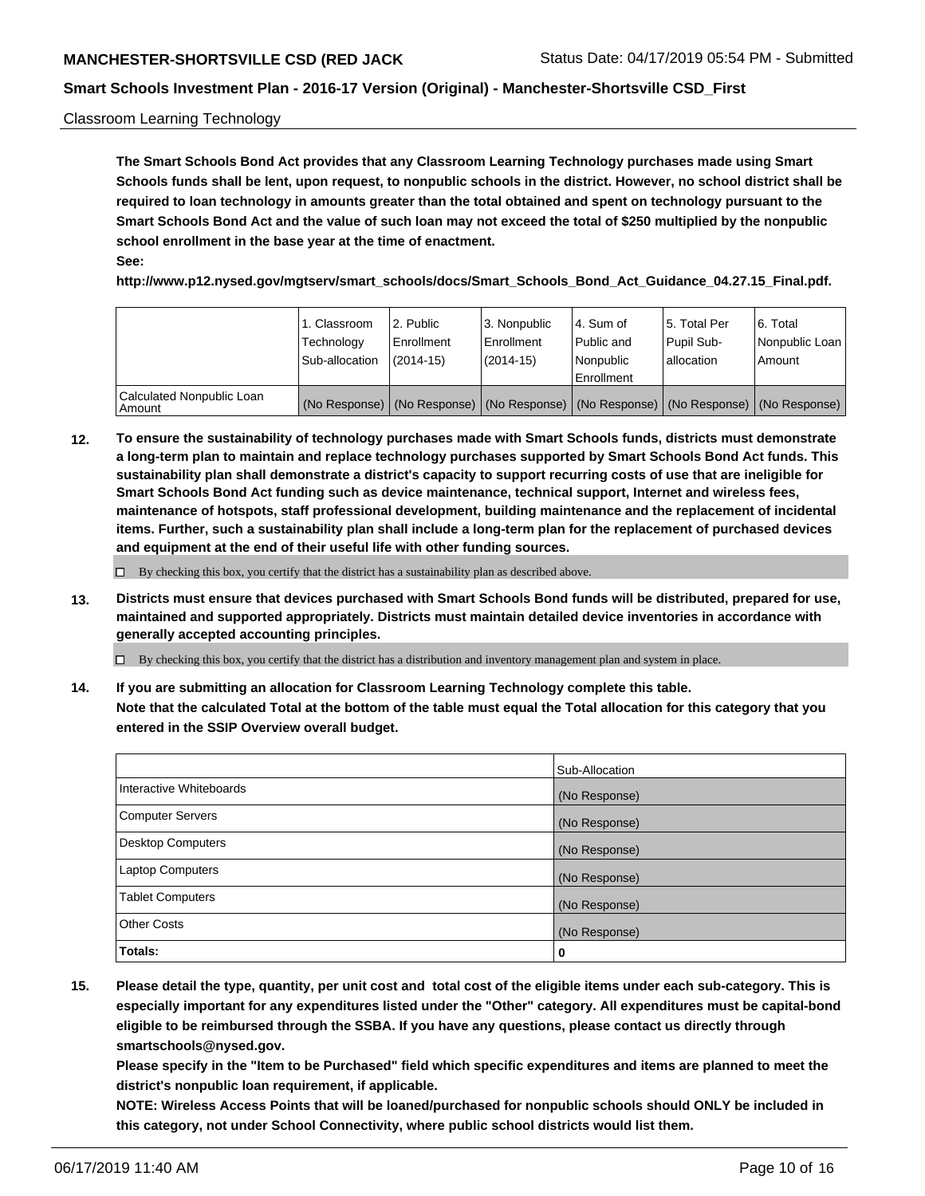#### Classroom Learning Technology

**The Smart Schools Bond Act provides that any Classroom Learning Technology purchases made using Smart Schools funds shall be lent, upon request, to nonpublic schools in the district. However, no school district shall be required to loan technology in amounts greater than the total obtained and spent on technology pursuant to the Smart Schools Bond Act and the value of such loan may not exceed the total of \$250 multiplied by the nonpublic school enrollment in the base year at the time of enactment. See:**

**http://www.p12.nysed.gov/mgtserv/smart\_schools/docs/Smart\_Schools\_Bond\_Act\_Guidance\_04.27.15\_Final.pdf.**

|                                       | 1. Classroom<br>Technology<br>Sub-allocation | l 2. Public<br>Enrollment<br>$(2014-15)$ | 3. Nonpublic<br>l Enrollment<br>$(2014-15)$ | l 4. Sum of<br>Public and<br>l Nonpublic<br>Enrollment                                        | 15. Total Per<br>Pupil Sub-<br>allocation | l 6. Total<br>Nonpublic Loan<br>Amount |
|---------------------------------------|----------------------------------------------|------------------------------------------|---------------------------------------------|-----------------------------------------------------------------------------------------------|-------------------------------------------|----------------------------------------|
| Calculated Nonpublic Loan<br>l Amount |                                              |                                          |                                             | (No Response)   (No Response)   (No Response)   (No Response)   (No Response)   (No Response) |                                           |                                        |

**12. To ensure the sustainability of technology purchases made with Smart Schools funds, districts must demonstrate a long-term plan to maintain and replace technology purchases supported by Smart Schools Bond Act funds. This sustainability plan shall demonstrate a district's capacity to support recurring costs of use that are ineligible for Smart Schools Bond Act funding such as device maintenance, technical support, Internet and wireless fees, maintenance of hotspots, staff professional development, building maintenance and the replacement of incidental items. Further, such a sustainability plan shall include a long-term plan for the replacement of purchased devices and equipment at the end of their useful life with other funding sources.**

 $\Box$  By checking this box, you certify that the district has a sustainability plan as described above.

**13. Districts must ensure that devices purchased with Smart Schools Bond funds will be distributed, prepared for use, maintained and supported appropriately. Districts must maintain detailed device inventories in accordance with generally accepted accounting principles.**

By checking this box, you certify that the district has a distribution and inventory management plan and system in place.

**14. If you are submitting an allocation for Classroom Learning Technology complete this table. Note that the calculated Total at the bottom of the table must equal the Total allocation for this category that you entered in the SSIP Overview overall budget.**

|                          | Sub-Allocation |
|--------------------------|----------------|
| Interactive Whiteboards  | (No Response)  |
| Computer Servers         | (No Response)  |
| <b>Desktop Computers</b> | (No Response)  |
| Laptop Computers         | (No Response)  |
| <b>Tablet Computers</b>  | (No Response)  |
| <b>Other Costs</b>       | (No Response)  |
| <b>Totals:</b>           | 0              |

**15. Please detail the type, quantity, per unit cost and total cost of the eligible items under each sub-category. This is especially important for any expenditures listed under the "Other" category. All expenditures must be capital-bond eligible to be reimbursed through the SSBA. If you have any questions, please contact us directly through smartschools@nysed.gov.**

**Please specify in the "Item to be Purchased" field which specific expenditures and items are planned to meet the district's nonpublic loan requirement, if applicable.**

**NOTE: Wireless Access Points that will be loaned/purchased for nonpublic schools should ONLY be included in this category, not under School Connectivity, where public school districts would list them.**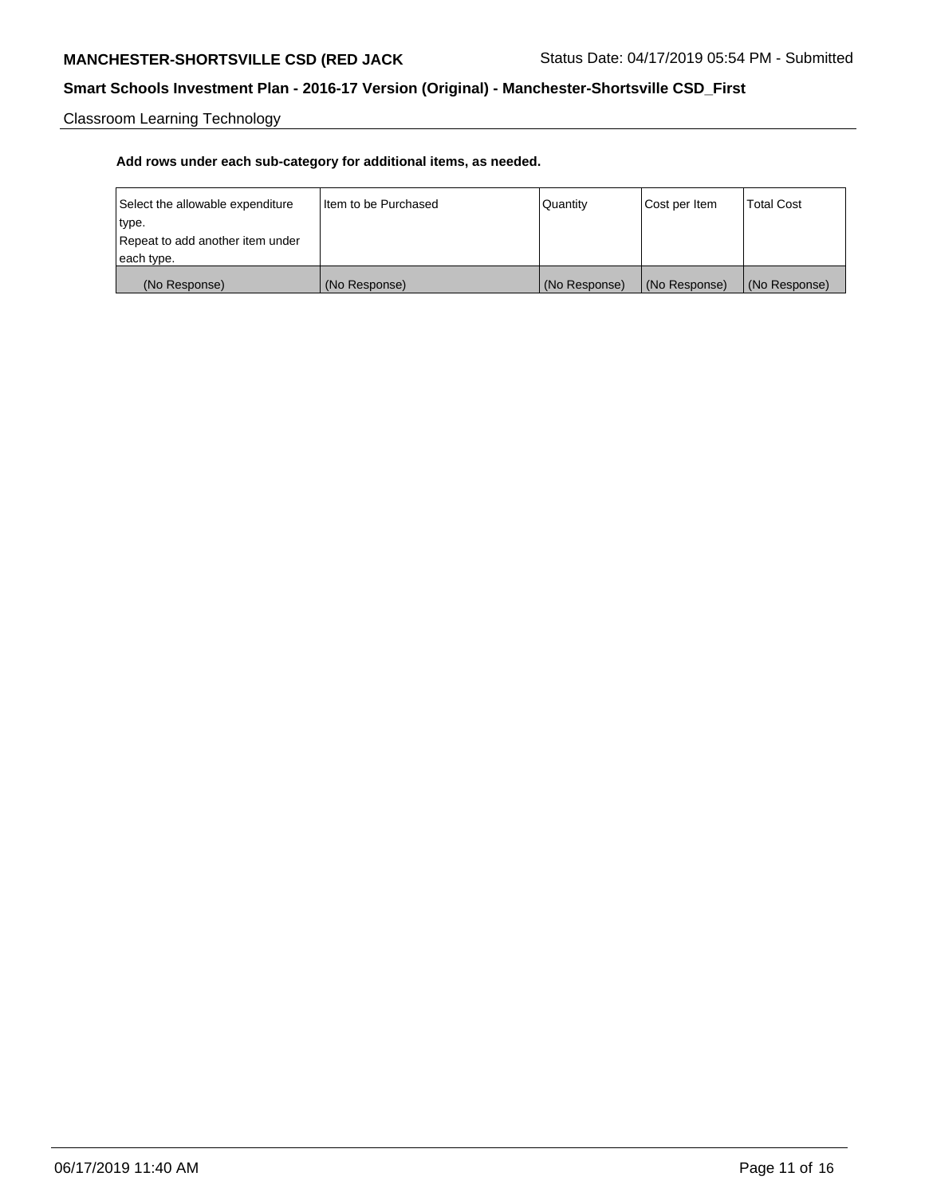# **MANCHESTER-SHORTSVILLE CSD (RED JACK** Status Date: 04/17/2019 05:54 PM - Submitted

# **Smart Schools Investment Plan - 2016-17 Version (Original) - Manchester-Shortsville CSD\_First**

Classroom Learning Technology

| Select the allowable expenditure | Iltem to be Purchased | Quantity      | Cost per Item | <b>Total Cost</b> |
|----------------------------------|-----------------------|---------------|---------------|-------------------|
| type.                            |                       |               |               |                   |
| Repeat to add another item under |                       |               |               |                   |
| each type.                       |                       |               |               |                   |
| (No Response)                    | (No Response)         | (No Response) | (No Response) | (No Response)     |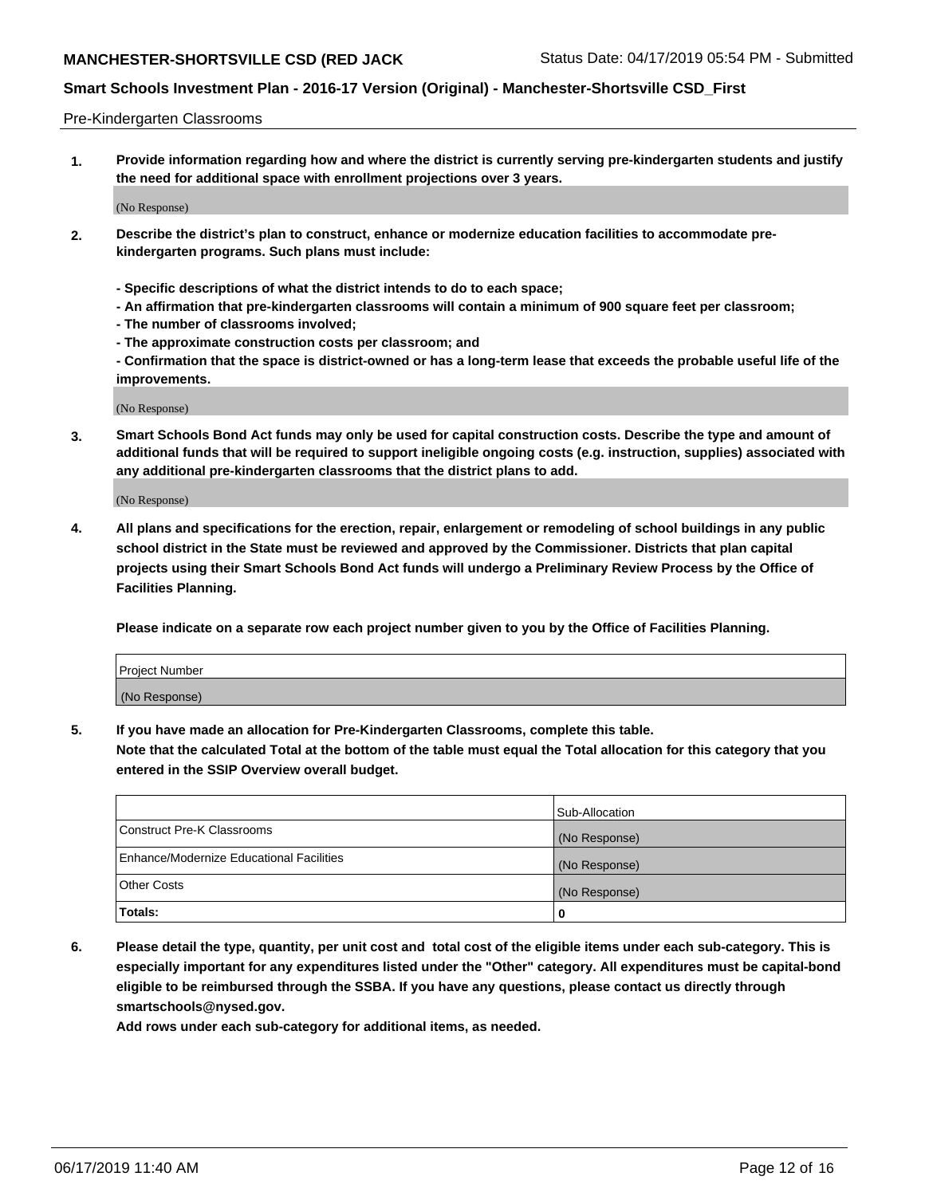#### Pre-Kindergarten Classrooms

**1. Provide information regarding how and where the district is currently serving pre-kindergarten students and justify the need for additional space with enrollment projections over 3 years.**

(No Response)

- **2. Describe the district's plan to construct, enhance or modernize education facilities to accommodate prekindergarten programs. Such plans must include:**
	- **Specific descriptions of what the district intends to do to each space;**
	- **An affirmation that pre-kindergarten classrooms will contain a minimum of 900 square feet per classroom;**
	- **The number of classrooms involved;**
	- **The approximate construction costs per classroom; and**
	- **Confirmation that the space is district-owned or has a long-term lease that exceeds the probable useful life of the improvements.**

(No Response)

**3. Smart Schools Bond Act funds may only be used for capital construction costs. Describe the type and amount of additional funds that will be required to support ineligible ongoing costs (e.g. instruction, supplies) associated with any additional pre-kindergarten classrooms that the district plans to add.**

(No Response)

**4. All plans and specifications for the erection, repair, enlargement or remodeling of school buildings in any public school district in the State must be reviewed and approved by the Commissioner. Districts that plan capital projects using their Smart Schools Bond Act funds will undergo a Preliminary Review Process by the Office of Facilities Planning.**

**Please indicate on a separate row each project number given to you by the Office of Facilities Planning.**

| Project Number |  |
|----------------|--|
| (No Response)  |  |
|                |  |

**5. If you have made an allocation for Pre-Kindergarten Classrooms, complete this table.**

**Note that the calculated Total at the bottom of the table must equal the Total allocation for this category that you entered in the SSIP Overview overall budget.**

|                                          | Sub-Allocation |
|------------------------------------------|----------------|
| Construct Pre-K Classrooms               | (No Response)  |
| Enhance/Modernize Educational Facilities | (No Response)  |
| <b>Other Costs</b>                       | (No Response)  |
| Totals:                                  | 0              |

**6. Please detail the type, quantity, per unit cost and total cost of the eligible items under each sub-category. This is especially important for any expenditures listed under the "Other" category. All expenditures must be capital-bond eligible to be reimbursed through the SSBA. If you have any questions, please contact us directly through smartschools@nysed.gov.**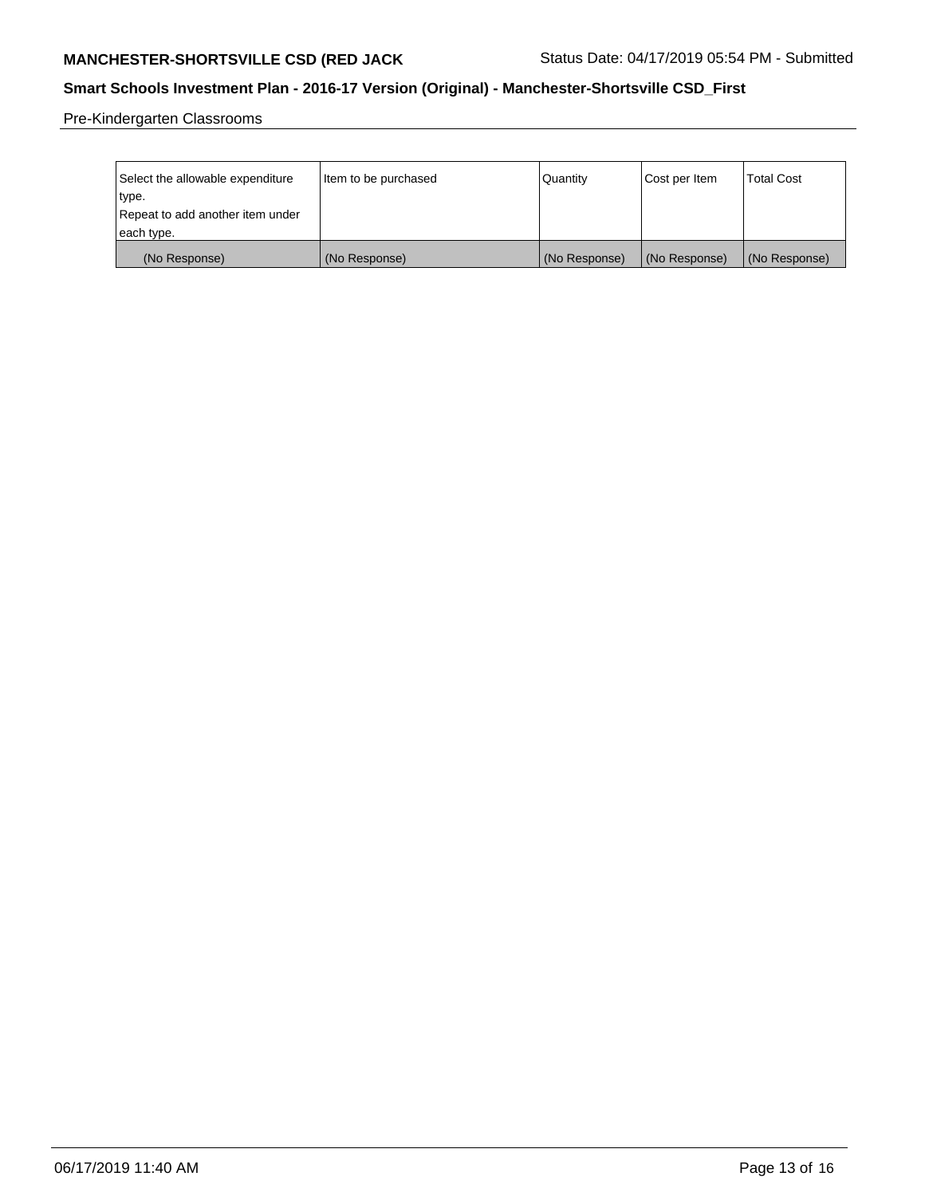# **MANCHESTER-SHORTSVILLE CSD (RED JACK** Status Date: 04/17/2019 05:54 PM - Submitted

# **Smart Schools Investment Plan - 2016-17 Version (Original) - Manchester-Shortsville CSD\_First**

Pre-Kindergarten Classrooms

| Select the allowable expenditure | Item to be purchased | Quantity      | Cost per Item | <b>Total Cost</b> |
|----------------------------------|----------------------|---------------|---------------|-------------------|
| type.                            |                      |               |               |                   |
| Repeat to add another item under |                      |               |               |                   |
| each type.                       |                      |               |               |                   |
| (No Response)                    | (No Response)        | (No Response) | (No Response) | (No Response)     |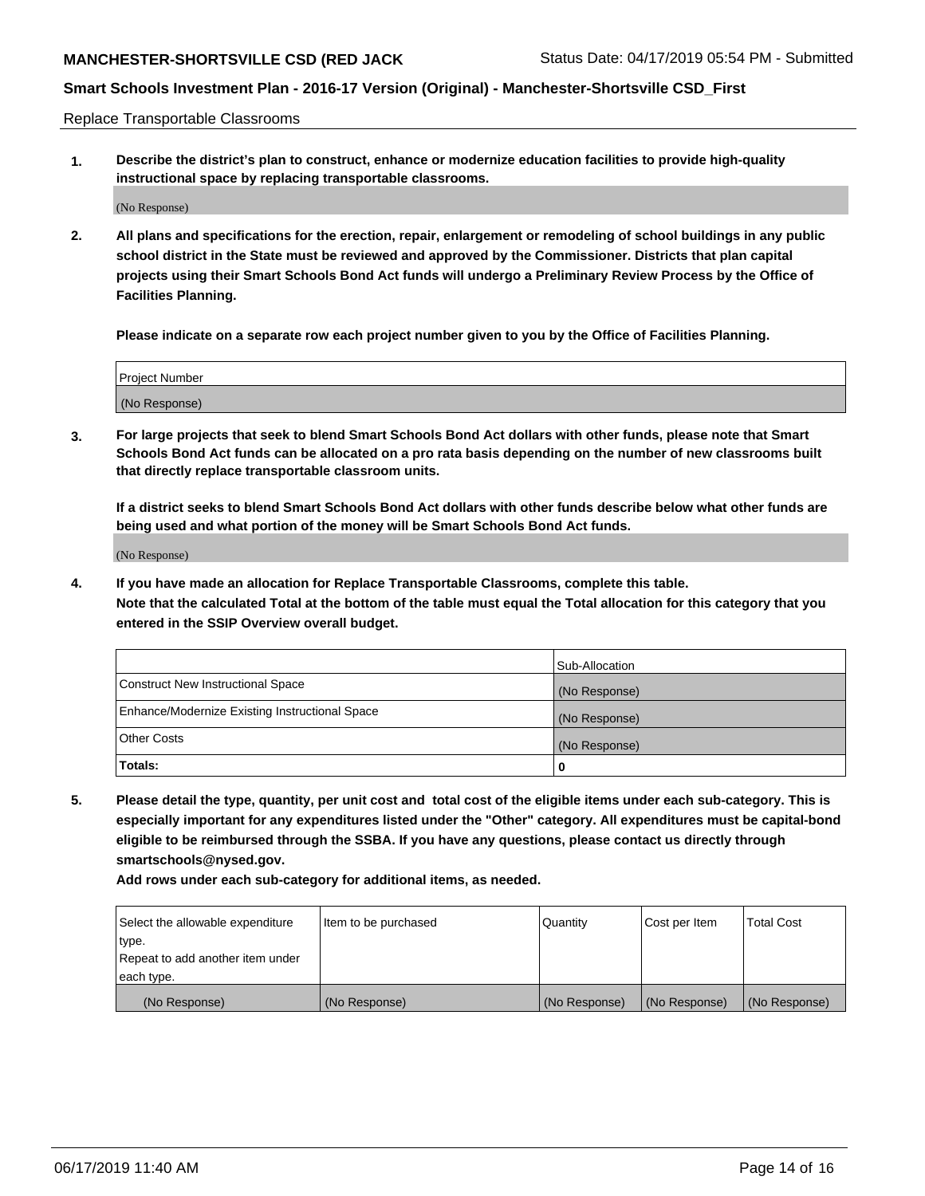Replace Transportable Classrooms

**1. Describe the district's plan to construct, enhance or modernize education facilities to provide high-quality instructional space by replacing transportable classrooms.**

(No Response)

**2. All plans and specifications for the erection, repair, enlargement or remodeling of school buildings in any public school district in the State must be reviewed and approved by the Commissioner. Districts that plan capital projects using their Smart Schools Bond Act funds will undergo a Preliminary Review Process by the Office of Facilities Planning.**

**Please indicate on a separate row each project number given to you by the Office of Facilities Planning.**

| Project Number |  |
|----------------|--|
|                |  |
| (No Response)  |  |

**3. For large projects that seek to blend Smart Schools Bond Act dollars with other funds, please note that Smart Schools Bond Act funds can be allocated on a pro rata basis depending on the number of new classrooms built that directly replace transportable classroom units.**

**If a district seeks to blend Smart Schools Bond Act dollars with other funds describe below what other funds are being used and what portion of the money will be Smart Schools Bond Act funds.**

(No Response)

**4. If you have made an allocation for Replace Transportable Classrooms, complete this table. Note that the calculated Total at the bottom of the table must equal the Total allocation for this category that you entered in the SSIP Overview overall budget.**

|                                                | Sub-Allocation |
|------------------------------------------------|----------------|
| Construct New Instructional Space              | (No Response)  |
| Enhance/Modernize Existing Instructional Space | (No Response)  |
| <b>Other Costs</b>                             | (No Response)  |
| Totals:                                        | 0              |

**5. Please detail the type, quantity, per unit cost and total cost of the eligible items under each sub-category. This is especially important for any expenditures listed under the "Other" category. All expenditures must be capital-bond eligible to be reimbursed through the SSBA. If you have any questions, please contact us directly through smartschools@nysed.gov.**

| Select the allowable expenditure | Item to be purchased | l Quantitv    | Cost per Item | <b>Total Cost</b> |
|----------------------------------|----------------------|---------------|---------------|-------------------|
| type.                            |                      |               |               |                   |
| Repeat to add another item under |                      |               |               |                   |
| each type.                       |                      |               |               |                   |
| (No Response)                    | (No Response)        | (No Response) | (No Response) | (No Response)     |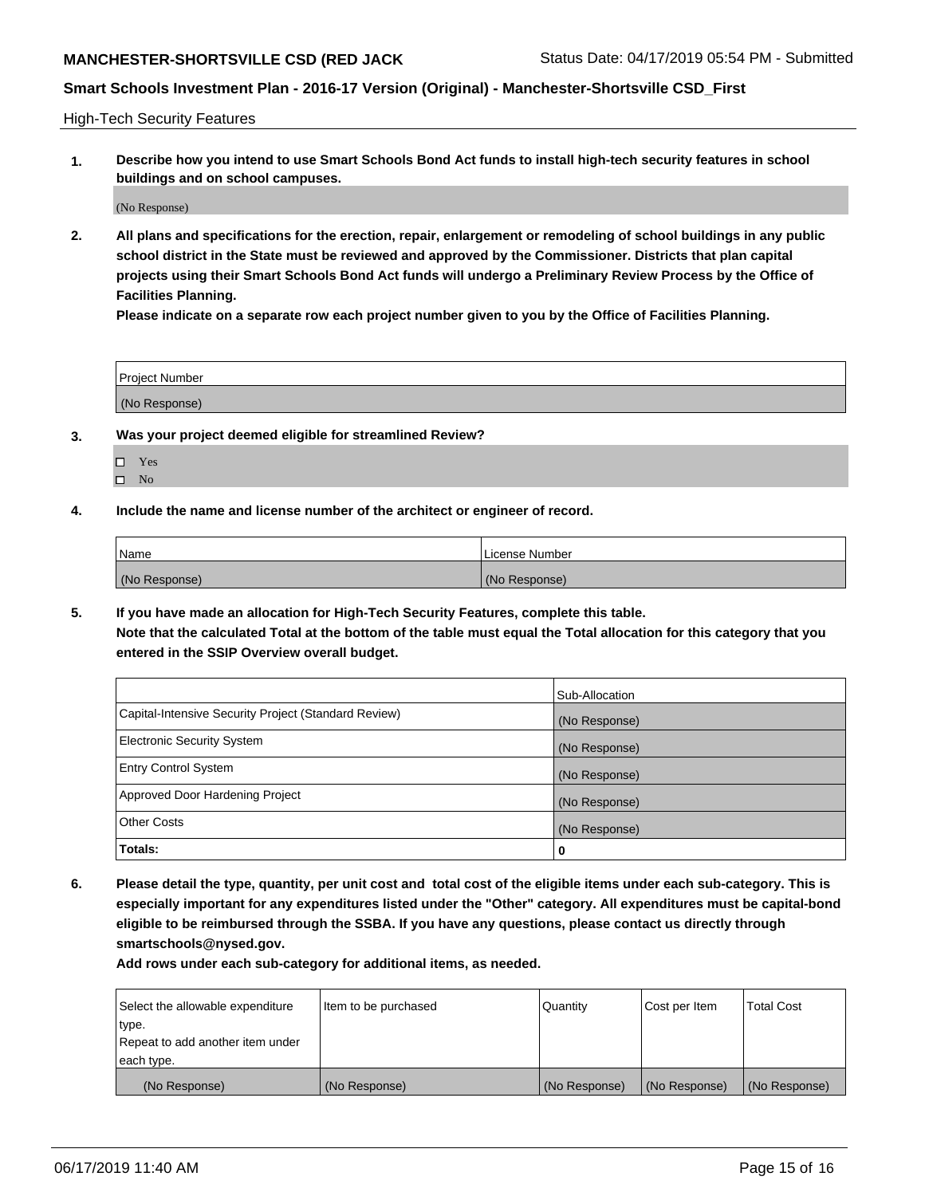High-Tech Security Features

**1. Describe how you intend to use Smart Schools Bond Act funds to install high-tech security features in school buildings and on school campuses.**

(No Response)

**2. All plans and specifications for the erection, repair, enlargement or remodeling of school buildings in any public school district in the State must be reviewed and approved by the Commissioner. Districts that plan capital projects using their Smart Schools Bond Act funds will undergo a Preliminary Review Process by the Office of Facilities Planning.** 

**Please indicate on a separate row each project number given to you by the Office of Facilities Planning.**

| <b>Project Number</b> |  |
|-----------------------|--|
| (No Response)         |  |

- **3. Was your project deemed eligible for streamlined Review?**
	- Yes  $\square$  No
- **4. Include the name and license number of the architect or engineer of record.**

| Name          | License Number |
|---------------|----------------|
| (No Response) | (No Response)  |

**5. If you have made an allocation for High-Tech Security Features, complete this table.**

**Note that the calculated Total at the bottom of the table must equal the Total allocation for this category that you entered in the SSIP Overview overall budget.**

|                                                      | Sub-Allocation |
|------------------------------------------------------|----------------|
| Capital-Intensive Security Project (Standard Review) | (No Response)  |
| <b>Electronic Security System</b>                    | (No Response)  |
| <b>Entry Control System</b>                          | (No Response)  |
| Approved Door Hardening Project                      | (No Response)  |
| <b>Other Costs</b>                                   | (No Response)  |
| Totals:                                              | 0              |

**6. Please detail the type, quantity, per unit cost and total cost of the eligible items under each sub-category. This is especially important for any expenditures listed under the "Other" category. All expenditures must be capital-bond eligible to be reimbursed through the SSBA. If you have any questions, please contact us directly through smartschools@nysed.gov.**

| Select the allowable expenditure | Item to be purchased | l Quantitv    | Cost per Item | <b>Total Cost</b> |
|----------------------------------|----------------------|---------------|---------------|-------------------|
| type.                            |                      |               |               |                   |
| Repeat to add another item under |                      |               |               |                   |
| each type.                       |                      |               |               |                   |
| (No Response)                    | (No Response)        | (No Response) | (No Response) | (No Response)     |